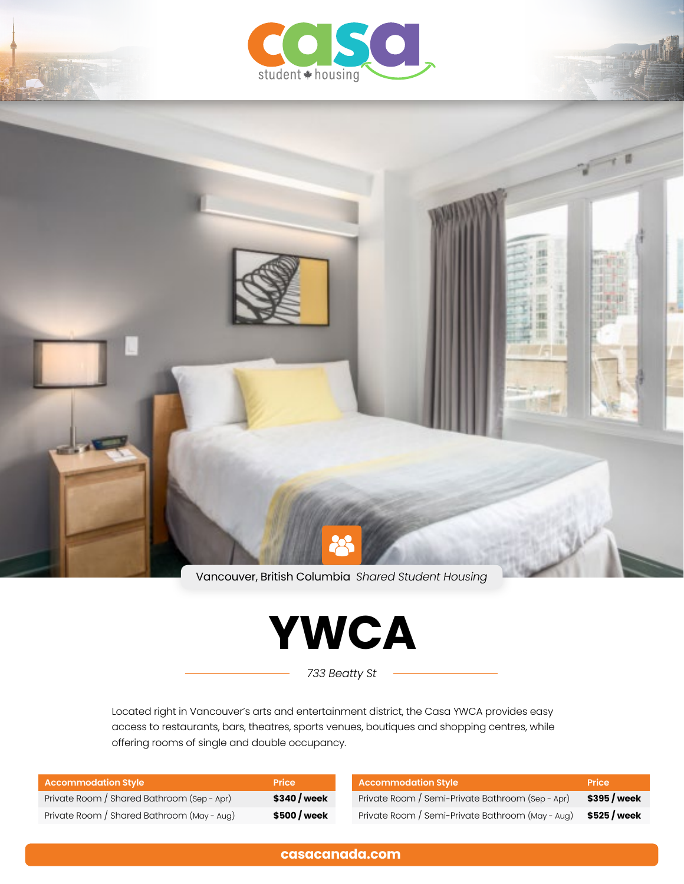

Vancouver, British Columbia *Shared Student Housing*



*733 Beatty St*

Located right in Vancouver's arts and entertainment district, the Casa YWCA provides easy access to restaurants, bars, theatres, sports venues, boutiques and shopping centres, while offering rooms of single and double occupancy.

| <b>Accommodation Style</b>                 | <b>Price</b> | <b>Accommodation Style</b>                       | <b>Price</b> |
|--------------------------------------------|--------------|--------------------------------------------------|--------------|
| Private Room / Shared Bathroom (Sep - Apr) | \$340 / week | Private Room / Semi-Private Bathroom (Sep - Apr) | \$395/week   |
| Private Room / Shared Bathroom (May - Aug) | \$500 / week | Private Room / Semi-Private Bathroom (May - Aug) | \$525 / week |